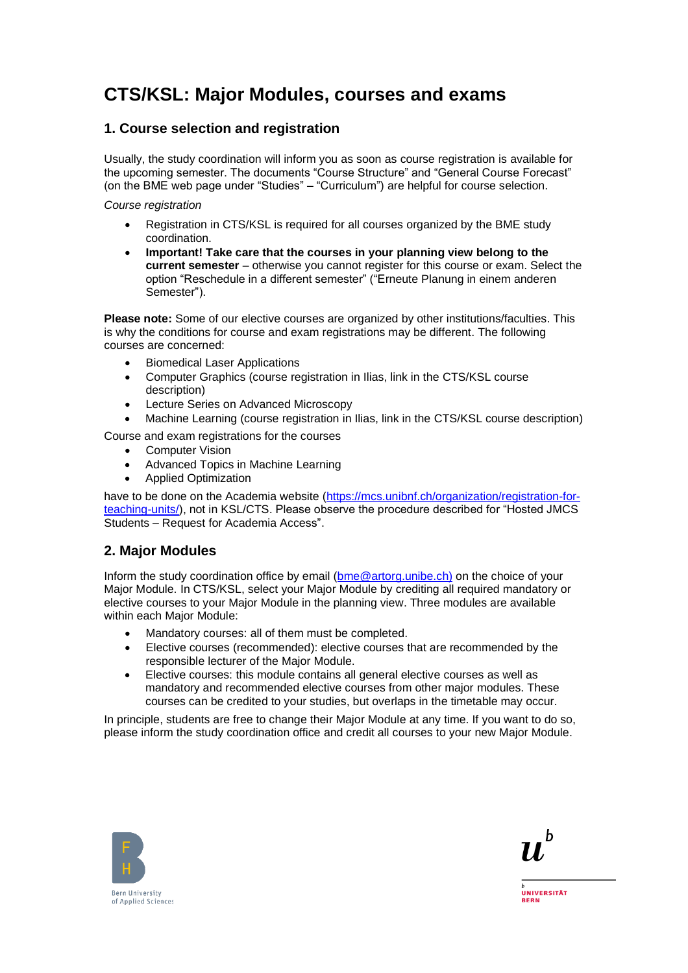# **CTS/KSL: Major Modules, courses and exams**

### **1. Course selection and registration**

Usually, the study coordination will inform you as soon as course registration is available for the upcoming semester. The documents "Course Structure" and "General Course Forecast" (on the BME web page under "Studies" – "Curriculum") are helpful for course selection.

*Course registration*

- Registration in CTS/KSL is required for all courses organized by the BME study coordination.
- **Important! Take care that the courses in your planning view belong to the current semester** – otherwise you cannot register for this course or exam. Select the option "Reschedule in a different semester" ("Erneute Planung in einem anderen Semester").

**Please note:** Some of our elective courses are organized by other institutions/faculties. This is why the conditions for course and exam registrations may be different. The following courses are concerned:

- Biomedical Laser Applications
- Computer Graphics (course registration in Ilias, link in the CTS/KSL course description)
- Lecture Series on Advanced Microscopy
- Machine Learning (course registration in Ilias, link in the CTS/KSL course description)

Course and exam registrations for the courses

- **Computer Vision**
- Advanced Topics in Machine Learning
- Applied Optimization

have to be done on the Academia website [\(https://mcs.unibnf.ch/organization/registration-for](https://mcs.unibnf.ch/organization/registration-for-teaching-units/)[teaching-units/\)](https://mcs.unibnf.ch/organization/registration-for-teaching-units/), not in KSL/CTS. Please observe the procedure described for "Hosted JMCS Students – Request for Academia Access".

#### **2. Major Modules**

Inform the study coordination office by email [\(bme@artorg.unibe.ch\)](mailto:bme@artorg.unibe.ch)) on the choice of your Major Module. In CTS/KSL, select your Major Module by crediting all required mandatory or elective courses to your Major Module in the planning view. Three modules are available within each Major Module:

- Mandatory courses: all of them must be completed.
- Elective courses (recommended): elective courses that are recommended by the responsible lecturer of the Major Module.
- Elective courses: this module contains all general elective courses as well as mandatory and recommended elective courses from other major modules. These courses can be credited to your studies, but overlaps in the timetable may occur.

In principle, students are free to change their Major Module at any time. If you want to do so, please inform the study coordination office and credit all courses to your new Major Module.





**UNIVERSITÄT RERN**